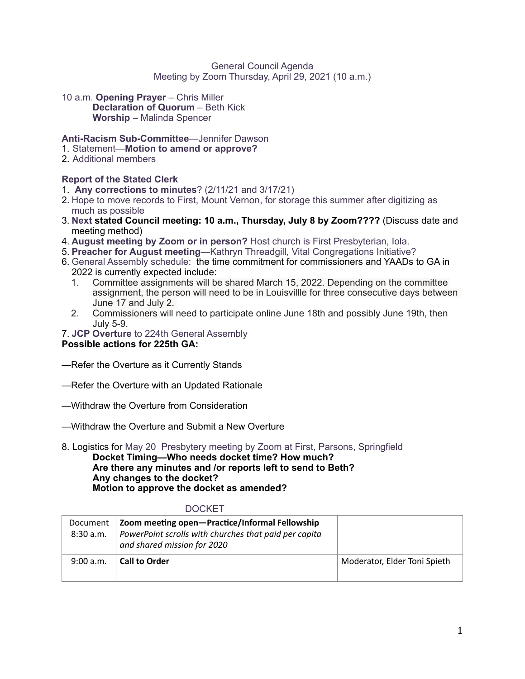#### General Council Agenda Meeting by Zoom Thursday, April 29, 2021 (10 a.m.)

10 a.m. **Opening Prayer** – Chris Miller **Declaration of Quorum - Beth Kick Worship** – Malinda Spencer

# **Anti-Racism Sub-Committee**—Jennifer Dawson

- 1. Statement—**Motion to amend or approve?**
- 2. Additional members

# **Report of the Stated Clerk**

- 1. **Any corrections to minutes**? (2/11/21 and 3/17/21)
- 2. Hope to move records to First, Mount Vernon, for storage this summer after digitizing as much as possible
- 3. **Next stated Council meeting: 10 a.m., Thursday, July 8 by Zoom????** (Discuss date and meeting method)
- 4. **August meeting by Zoom or in person?** Host church is First Presbyterian, Iola.
- 5. **Preacher for August meeting**—Kathryn Threadgill, Vital Congregations Initiative?
- 6. General Assembly schedule: the time commitment for commissioners and YAADs to GA in 2022 is currently expected include:
	- 1. Committee assignments will be shared March 15, 2022. Depending on the committee assignment, the person will need to be in Louisvillle for three consecutive days between June 17 and July 2.
	- 2. Commissioners will need to participate online June 18th and possibly June 19th, then July 5-9.
- 7. **JCP Overture** to 224th General Assembly

# **Possible actions for 225th GA:**

- —Refer the Overture as it Currently Stands
- —Refer the Overture with an Updated Rationale
- —Withdraw the Overture from Consideration
- —Withdraw the Overture and Submit a New Overture
- 8. Logistics for May 20 Presbytery meeting by Zoom at First, Parsons, Springfield **Docket Timing—Who needs docket time? How much? Are there any minutes and /or reports left to send to Beth? Any changes to the docket? Motion to approve the docket as amended?**

#### DOCKET

| Document<br>8:30a.m. | Zoom meeting open-Practice/Informal Fellowship<br>PowerPoint scrolls with churches that paid per capita<br>and shared mission for 2020 |                              |
|----------------------|----------------------------------------------------------------------------------------------------------------------------------------|------------------------------|
| 9:00 a.m.            | <b>Call to Order</b>                                                                                                                   | Moderator, Elder Toni Spieth |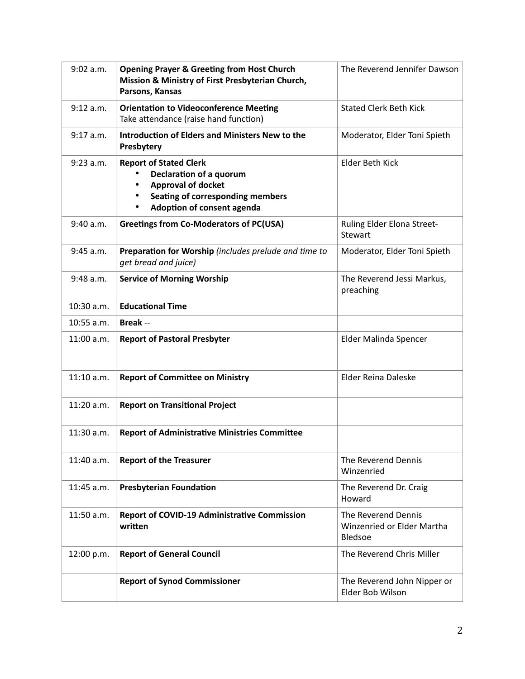| 9:02 a.m.   | <b>Opening Prayer &amp; Greeting from Host Church</b><br>Mission & Ministry of First Presbyterian Church,<br>Parsons, Kansas                                         | The Reverend Jennifer Dawson                                 |
|-------------|----------------------------------------------------------------------------------------------------------------------------------------------------------------------|--------------------------------------------------------------|
| 9:12 a.m.   | <b>Orientation to Videoconference Meeting</b><br>Take attendance (raise hand function)                                                                               | <b>Stated Clerk Beth Kick</b>                                |
| $9:17$ a.m. | <b>Introduction of Elders and Ministers New to the</b><br>Presbytery                                                                                                 | Moderator, Elder Toni Spieth                                 |
| $9:23$ a.m. | <b>Report of Stated Clerk</b><br>Declaration of a quorum<br><b>Approval of docket</b><br>Seating of corresponding members<br>Adoption of consent agenda<br>$\bullet$ | Elder Beth Kick                                              |
| 9:40 a.m.   | <b>Greetings from Co-Moderators of PC(USA)</b>                                                                                                                       | Ruling Elder Elona Street-<br><b>Stewart</b>                 |
| 9:45 a.m.   | Preparation for Worship (includes prelude and time to<br>get bread and juice)                                                                                        | Moderator, Elder Toni Spieth                                 |
| $9:48$ a.m. | <b>Service of Morning Worship</b>                                                                                                                                    | The Reverend Jessi Markus,<br>preaching                      |
| 10:30 a.m.  | <b>Educational Time</b>                                                                                                                                              |                                                              |
| 10:55 a.m.  | <b>Break</b> --                                                                                                                                                      |                                                              |
| 11:00 a.m.  | <b>Report of Pastoral Presbyter</b>                                                                                                                                  | Elder Malinda Spencer                                        |
| 11:10 a.m.  | <b>Report of Committee on Ministry</b>                                                                                                                               | Elder Reina Daleske                                          |
| 11:20 a.m.  | <b>Report on Transitional Project</b>                                                                                                                                |                                                              |
| 11:30 a.m.  | <b>Report of Administrative Ministries Committee</b>                                                                                                                 |                                                              |
| 11:40 a.m.  | <b>Report of the Treasurer</b>                                                                                                                                       | The Reverend Dennis<br>Winzenried                            |
| 11:45 a.m.  | <b>Presbyterian Foundation</b>                                                                                                                                       | The Reverend Dr. Craig<br>Howard                             |
| 11:50 a.m.  | <b>Report of COVID-19 Administrative Commission</b><br>written                                                                                                       | The Reverend Dennis<br>Winzenried or Elder Martha<br>Bledsoe |
| 12:00 p.m.  | <b>Report of General Council</b>                                                                                                                                     | The Reverend Chris Miller                                    |
|             | <b>Report of Synod Commissioner</b>                                                                                                                                  | The Reverend John Nipper or<br>Elder Bob Wilson              |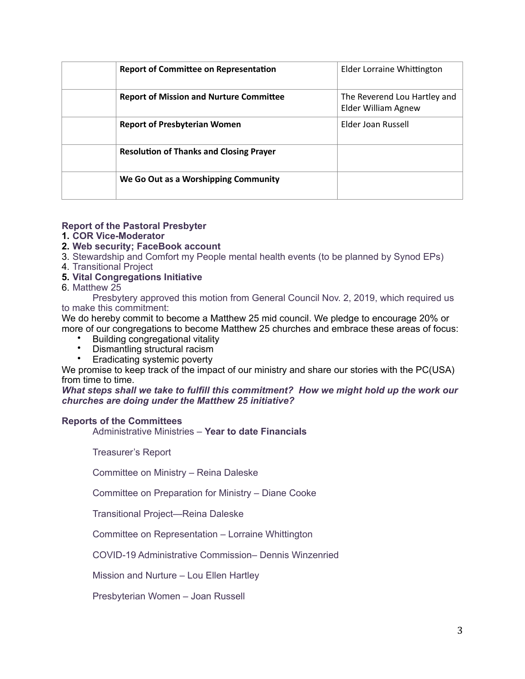| <b>Report of Committee on Representation</b>   | Elder Lorraine Whittington                          |
|------------------------------------------------|-----------------------------------------------------|
| <b>Report of Mission and Nurture Committee</b> | The Reverend Lou Hartley and<br>Elder William Agnew |
| <b>Report of Presbyterian Women</b>            | Elder Joan Russell                                  |
| <b>Resolution of Thanks and Closing Prayer</b> |                                                     |
| We Go Out as a Worshipping Community           |                                                     |

## **Report of the Pastoral Presbyter**

## **1. COR Vice-Moderator**

# **2. Web security; FaceBook account**

3. Stewardship and Comfort my People mental health events (to be planned by Synod EPs)

4. Transitional Project

## **5. Vital Congregations Initiative**

6. Matthew 25

Presbytery approved this motion from General Council Nov. 2, 2019, which required us to make this commitment:

We do hereby commit to become a Matthew 25 mid council. We pledge to encourage 20% or more of our congregations to become Matthew 25 churches and embrace these areas of focus:

- Building congregational vitality
- Dismantling structural racism<br>• Eradicating systemic poverty
- Eradicating systemic poverty

We promise to keep track of the impact of our ministry and share our stories with the PC(USA) from time to time.

*What steps shall we take to fulfill this commitment? How we might hold up the work our churches are doing under the Matthew 25 initiative?*

#### **Reports of the Committees**

Administrative Ministries – **Year to date Financials** 

Treasurer's Report

Committee on Ministry – Reina Daleske

Committee on Preparation for Ministry – Diane Cooke

Transitional Project—Reina Daleske

Committee on Representation – Lorraine Whittington

COVID-19 Administrative Commission– Dennis Winzenried

Mission and Nurture – Lou Ellen Hartley

Presbyterian Women – Joan Russell